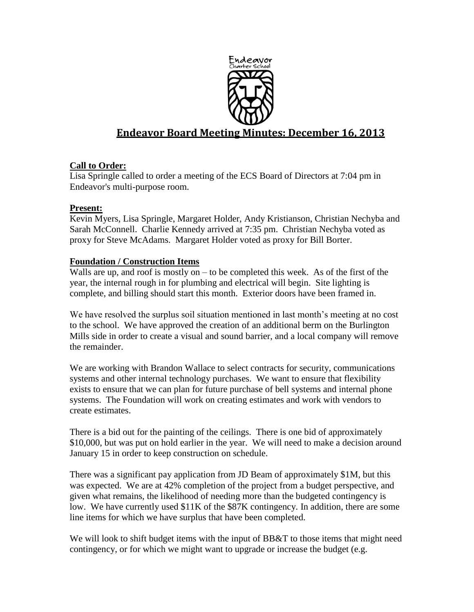

# **Endeavor Board Meeting Minutes: December 16, 2013**

# **Call to Order:**

Lisa Springle called to order a meeting of the ECS Board of Directors at 7:04 pm in Endeavor's multi-purpose room.

# **Present:**

Kevin Myers, Lisa Springle, Margaret Holder, Andy Kristianson, Christian Nechyba and Sarah McConnell. Charlie Kennedy arrived at 7:35 pm. Christian Nechyba voted as proxy for Steve McAdams. Margaret Holder voted as proxy for Bill Borter.

# **Foundation / Construction Items**

Walls are up, and roof is mostly on  $-$  to be completed this week. As of the first of the year, the internal rough in for plumbing and electrical will begin. Site lighting is complete, and billing should start this month. Exterior doors have been framed in.

We have resolved the surplus soil situation mentioned in last month's meeting at no cost to the school. We have approved the creation of an additional berm on the Burlington Mills side in order to create a visual and sound barrier, and a local company will remove the remainder.

We are working with Brandon Wallace to select contracts for security, communications systems and other internal technology purchases. We want to ensure that flexibility exists to ensure that we can plan for future purchase of bell systems and internal phone systems. The Foundation will work on creating estimates and work with vendors to create estimates.

There is a bid out for the painting of the ceilings. There is one bid of approximately \$10,000, but was put on hold earlier in the year. We will need to make a decision around January 15 in order to keep construction on schedule.

There was a significant pay application from JD Beam of approximately \$1M, but this was expected. We are at 42% completion of the project from a budget perspective, and given what remains, the likelihood of needing more than the budgeted contingency is low. We have currently used \$11K of the \$87K contingency. In addition, there are some line items for which we have surplus that have been completed.

We will look to shift budget items with the input of BB&T to those items that might need contingency, or for which we might want to upgrade or increase the budget (e.g.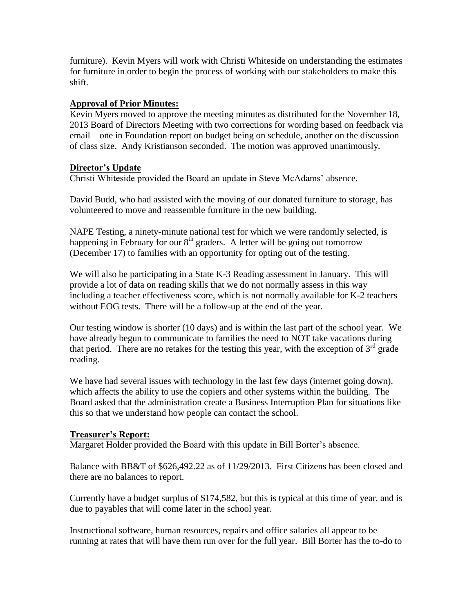furniture). Kevin Myers will work with Christi Whiteside on understanding the estimates for furniture in order to begin the process of working with our stakeholders to make this shift.

#### **Approval of Prior Minutes:**

Kevin Myers moved to approve the meeting minutes as distributed for the November 18, 2013 Board of Directors Meeting with two corrections for wording based on feedback via email – one in Foundation report on budget being on schedule, another on the discussion of class size. Andy Kristianson seconded. The motion was approved unanimously.

#### **Director's Update**

Christi Whiteside provided the Board an update in Steve McAdams' absence.

David Budd, who had assisted with the moving of our donated furniture to storage, has volunteered to move and reassemble furniture in the new building.

NAPE Testing, a ninety-minute national test for which we were randomly selected, is happening in February for our  $8<sup>th</sup>$  graders. A letter will be going out tomorrow (December 17) to families with an opportunity for opting out of the testing.

We will also be participating in a State K-3 Reading assessment in January. This will provide a lot of data on reading skills that we do not normally assess in this way including a teacher effectiveness score, which is not normally available for K-2 teachers without EOG tests. There will be a follow-up at the end of the year.

Our testing window is shorter (10 days) and is within the last part of the school year. We have already begun to communicate to families the need to NOT take vacations during that period. There are no retakes for the testing this year, with the exception of  $3<sup>rd</sup>$  grade reading.

We have had several issues with technology in the last few days (internet going down), which affects the ability to use the copiers and other systems within the building. The Board asked that the administration create a Business Interruption Plan for situations like this so that we understand how people can contact the school.

# **Treasurer's Report:**

Margaret Holder provided the Board with this update in Bill Borter's absence.

Balance with BB&T of \$626,492.22 as of 11/29/2013. First Citizens has been closed and there are no balances to report.

Currently have a budget surplus of \$174,582, but this is typical at this time of year, and is due to payables that will come later in the school year.

Instructional software, human resources, repairs and office salaries all appear to be running at rates that will have them run over for the full year. Bill Borter has the to-do to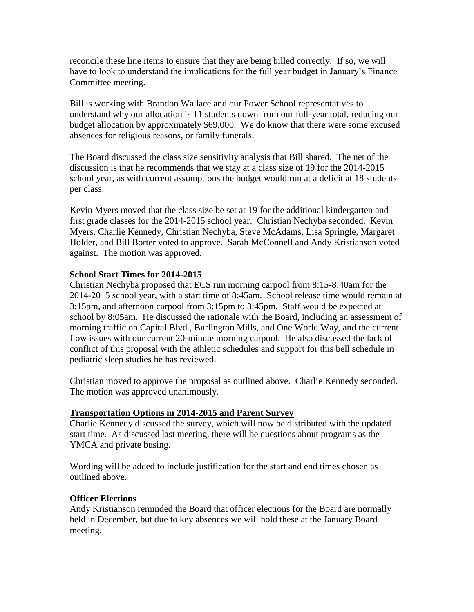reconcile these line items to ensure that they are being billed correctly. If so, we will have to look to understand the implications for the full year budget in January's Finance Committee meeting.

Bill is working with Brandon Wallace and our Power School representatives to understand why our allocation is 11 students down from our full-year total, reducing our budget allocation by approximately \$69,000. We do know that there were some excused absences for religious reasons, or family funerals.

The Board discussed the class size sensitivity analysis that Bill shared. The net of the discussion is that he recommends that we stay at a class size of 19 for the 2014-2015 school year, as with current assumptions the budget would run at a deficit at 18 students per class.

Kevin Myers moved that the class size be set at 19 for the additional kindergarten and first grade classes for the 2014-2015 school year. Christian Nechyba seconded. Kevin Myers, Charlie Kennedy, Christian Nechyba, Steve McAdams, Lisa Springle, Margaret Holder, and Bill Borter voted to approve. Sarah McConnell and Andy Kristianson voted against. The motion was approved.

#### **School Start Times for 2014-2015**

Christian Nechyba proposed that ECS run morning carpool from 8:15-8:40am for the 2014-2015 school year, with a start time of 8:45am. School release time would remain at 3:15pm, and afternoon carpool from 3:15pm to 3:45pm. Staff would be expected at school by 8:05am. He discussed the rationale with the Board, including an assessment of morning traffic on Capital Blvd., Burlington Mills, and One World Way, and the current flow issues with our current 20-minute morning carpool. He also discussed the lack of conflict of this proposal with the athletic schedules and support for this bell schedule in pediatric sleep studies he has reviewed.

Christian moved to approve the proposal as outlined above. Charlie Kennedy seconded. The motion was approved unanimously.

#### **Transportation Options in 2014-2015 and Parent Survey**

Charlie Kennedy discussed the survey, which will now be distributed with the updated start time. As discussed last meeting, there will be questions about programs as the YMCA and private busing.

Wording will be added to include justification for the start and end times chosen as outlined above.

# **Officer Elections**

Andy Kristianson reminded the Board that officer elections for the Board are normally held in December, but due to key absences we will hold these at the January Board meeting.